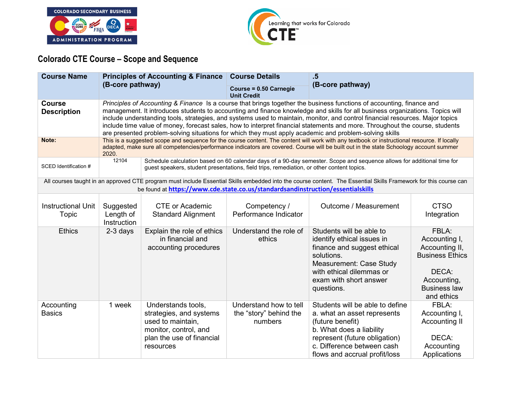



## **Colorado CTE Course – Scope and Sequence**

| <b>Course Name</b>                  | <b>Principles of Accounting &amp; Finance</b><br>(B-core pathway)                                                                                                                                                                                                                                                                                                                                                                                                                                                                                                                                                                 |                                                                                                                                                                                                                                                                                        | <b>Course Details</b><br>Course = 0.50 Carnegie<br><b>Unit Credit</b> | .5<br>(B-core pathway)                                                                                                                                                                                         |                                                                                                                                 |  |  |
|-------------------------------------|-----------------------------------------------------------------------------------------------------------------------------------------------------------------------------------------------------------------------------------------------------------------------------------------------------------------------------------------------------------------------------------------------------------------------------------------------------------------------------------------------------------------------------------------------------------------------------------------------------------------------------------|----------------------------------------------------------------------------------------------------------------------------------------------------------------------------------------------------------------------------------------------------------------------------------------|-----------------------------------------------------------------------|----------------------------------------------------------------------------------------------------------------------------------------------------------------------------------------------------------------|---------------------------------------------------------------------------------------------------------------------------------|--|--|
| <b>Course</b><br><b>Description</b> | Principles of Accounting & Finance Is a course that brings together the business functions of accounting, finance and<br>management. It introduces students to accounting and finance knowledge and skills for all business organizations. Topics will<br>include understanding tools, strategies, and systems used to maintain, monitor, and control financial resources. Major topics<br>include time value of money, forecast sales, how to interpret financial statements and more. Throughout the course, students<br>are presented problem-solving situations for which they must apply academic and problem-solving skills |                                                                                                                                                                                                                                                                                        |                                                                       |                                                                                                                                                                                                                |                                                                                                                                 |  |  |
| Note:                               | 2020.                                                                                                                                                                                                                                                                                                                                                                                                                                                                                                                                                                                                                             | This is a suggested scope and sequence for the course content. The content will work with any textbook or instructional resource. If locally<br>adapted, make sure all competencies/performance indicators are covered. Course will be built out in the state Schoology account summer |                                                                       |                                                                                                                                                                                                                |                                                                                                                                 |  |  |
| SCED Identification #               |                                                                                                                                                                                                                                                                                                                                                                                                                                                                                                                                                                                                                                   | 12104<br>Schedule calculation based on 60 calendar days of a 90-day semester. Scope and sequence allows for additional time for<br>guest speakers, student presentations, field trips, remediation, or other content topics.                                                           |                                                                       |                                                                                                                                                                                                                |                                                                                                                                 |  |  |
|                                     |                                                                                                                                                                                                                                                                                                                                                                                                                                                                                                                                                                                                                                   | be found at https://www.cde.state.co.us/standardsandinstruction/essentialskills                                                                                                                                                                                                        |                                                                       | All courses taught in an approved CTE program must include Essential Skills embedded into the course content. The Essential Skills Framework for this course can                                               |                                                                                                                                 |  |  |
| <b>Instructional Unit</b><br>Topic  | Suggested<br>Length of<br>Instruction                                                                                                                                                                                                                                                                                                                                                                                                                                                                                                                                                                                             | <b>CTE or Academic</b><br><b>Standard Alignment</b>                                                                                                                                                                                                                                    | Competency /<br>Performance Indicator                                 | Outcome / Measurement                                                                                                                                                                                          | <b>CTSO</b><br>Integration                                                                                                      |  |  |
| <b>Ethics</b>                       | 2-3 days                                                                                                                                                                                                                                                                                                                                                                                                                                                                                                                                                                                                                          | Explain the role of ethics<br>in financial and<br>accounting procedures                                                                                                                                                                                                                | Understand the role of<br>ethics                                      | Students will be able to<br>identify ethical issues in<br>finance and suggest ethical<br>solutions.<br><b>Measurement: Case Study</b><br>with ethical dilemmas or<br>exam with short answer<br>questions.      | FBLA:<br>Accounting I,<br>Accounting II,<br><b>Business Ethics</b><br>DECA:<br>Accounting,<br><b>Business law</b><br>and ethics |  |  |
| Accounting<br><b>Basics</b>         | 1 week                                                                                                                                                                                                                                                                                                                                                                                                                                                                                                                                                                                                                            | Understands tools,<br>strategies, and systems<br>used to maintain.<br>monitor, control, and<br>plan the use of financial<br>resources                                                                                                                                                  | Understand how to tell<br>the "story" behind the<br>numbers           | Students will be able to define<br>a. what an asset represents<br>(future benefit)<br>b. What does a liability<br>represent (future obligation)<br>c. Difference between cash<br>flows and accrual profit/loss | FBLA:<br>Accounting I,<br>Accounting II<br>DECA:<br>Accounting<br>Applications                                                  |  |  |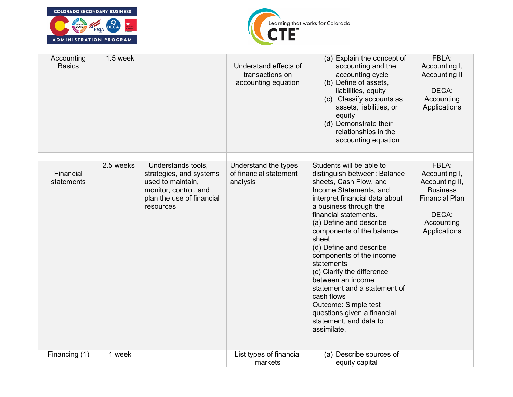



| Accounting<br><b>Basics</b> | 1.5 week  |                                                                                                                                       | Understand effects of<br>transactions on<br>accounting equation | (a) Explain the concept of<br>accounting and the<br>accounting cycle<br>(b) Define of assets,<br>liabilities, equity<br>(c) Classify accounts as<br>assets, liabilities, or<br>equity<br>(d) Demonstrate their<br>relationships in the<br>accounting equation                                                                                                                                                                                                                                                                            | FBLA:<br>Accounting I,<br><b>Accounting II</b><br>DECA:<br>Accounting<br>Applications                                       |
|-----------------------------|-----------|---------------------------------------------------------------------------------------------------------------------------------------|-----------------------------------------------------------------|------------------------------------------------------------------------------------------------------------------------------------------------------------------------------------------------------------------------------------------------------------------------------------------------------------------------------------------------------------------------------------------------------------------------------------------------------------------------------------------------------------------------------------------|-----------------------------------------------------------------------------------------------------------------------------|
| Financial<br>statements     | 2.5 weeks | Understands tools,<br>strategies, and systems<br>used to maintain,<br>monitor, control, and<br>plan the use of financial<br>resources | Understand the types<br>of financial statement<br>analysis      | Students will be able to<br>distinguish between: Balance<br>sheets, Cash Flow, and<br>Income Statements, and<br>interpret financial data about<br>a business through the<br>financial statements.<br>(a) Define and describe<br>components of the balance<br>sheet<br>(d) Define and describe<br>components of the income<br>statements<br>(c) Clarify the difference<br>between an income<br>statement and a statement of<br>cash flows<br>Outcome: Simple test<br>questions given a financial<br>statement, and data to<br>assimilate. | FBLA:<br>Accounting I,<br>Accounting II,<br><b>Business</b><br><b>Financial Plan</b><br>DECA:<br>Accounting<br>Applications |
| Financing (1)               | 1 week    |                                                                                                                                       | List types of financial<br>markets                              | (a) Describe sources of<br>equity capital                                                                                                                                                                                                                                                                                                                                                                                                                                                                                                |                                                                                                                             |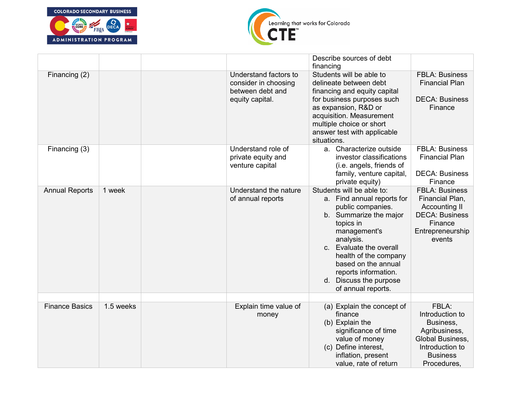



|                       |           |                                                                                      | Describe sources of debt<br>financing                                                                                                                                                                                                                                                               |                                                                                                                                    |
|-----------------------|-----------|--------------------------------------------------------------------------------------|-----------------------------------------------------------------------------------------------------------------------------------------------------------------------------------------------------------------------------------------------------------------------------------------------------|------------------------------------------------------------------------------------------------------------------------------------|
| Financing (2)         |           | Understand factors to<br>consider in choosing<br>between debt and<br>equity capital. | Students will be able to<br>delineate between debt<br>financing and equity capital<br>for business purposes such<br>as expansion, R&D or<br>acquisition. Measurement<br>multiple choice or short<br>answer test with applicable<br>situations.                                                      | <b>FBLA: Business</b><br><b>Financial Plan</b><br><b>DECA: Business</b><br>Finance                                                 |
| Financing (3)         |           | Understand role of<br>private equity and<br>venture capital                          | a. Characterize outside<br>investor classifications<br>(i.e. angels, friends of<br>family, venture capital,<br>private equity)                                                                                                                                                                      | <b>FBLA: Business</b><br><b>Financial Plan</b><br><b>DECA: Business</b><br>Finance                                                 |
| <b>Annual Reports</b> | 1 week    | Understand the nature<br>of annual reports                                           | Students will be able to:<br>a. Find annual reports for<br>public companies.<br>b. Summarize the major<br>topics in<br>management's<br>analysis.<br>c. Evaluate the overall<br>health of the company<br>based on the annual<br>reports information.<br>d. Discuss the purpose<br>of annual reports. | <b>FBLA: Business</b><br>Financial Plan,<br><b>Accounting II</b><br><b>DECA: Business</b><br>Finance<br>Entrepreneurship<br>events |
|                       |           |                                                                                      |                                                                                                                                                                                                                                                                                                     |                                                                                                                                    |
| <b>Finance Basics</b> | 1.5 weeks | Explain time value of<br>money                                                       | (a) Explain the concept of<br>finance<br>(b) Explain the<br>significance of time<br>value of money<br>(c) Define interest,<br>inflation, present<br>value, rate of return                                                                                                                           | FBLA:<br>Introduction to<br>Business,<br>Agribusiness,<br>Global Business,<br>Introduction to<br><b>Business</b><br>Procedures,    |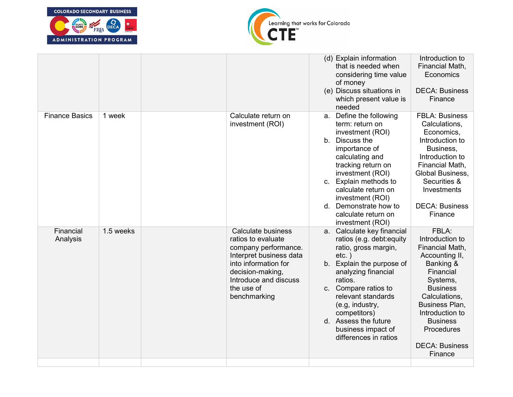



|                       |           |                                                                                                                                                                                                | (d) Explain information<br>that is needed when<br>considering time value<br>of money<br>(e) Discuss situations in<br>which present value is<br>needed                                                                                                                                                              | Introduction to<br>Financial Math,<br>Economics<br><b>DECA: Business</b><br>Finance                                                                                                                                                               |
|-----------------------|-----------|------------------------------------------------------------------------------------------------------------------------------------------------------------------------------------------------|--------------------------------------------------------------------------------------------------------------------------------------------------------------------------------------------------------------------------------------------------------------------------------------------------------------------|---------------------------------------------------------------------------------------------------------------------------------------------------------------------------------------------------------------------------------------------------|
| <b>Finance Basics</b> | 1 week    | Calculate return on<br>investment (ROI)                                                                                                                                                        | a. Define the following<br>term: return on<br>investment (ROI)<br>b. Discuss the<br>importance of<br>calculating and<br>tracking return on<br>investment (ROI)<br>c. Explain methods to<br>calculate return on<br>investment (ROI)<br>d. Demonstrate how to<br>calculate return on<br>investment (ROI)             | <b>FBLA: Business</b><br>Calculations,<br>Economics,<br>Introduction to<br>Business,<br>Introduction to<br>Financial Math,<br>Global Business,<br>Securities &<br>Investments<br><b>DECA: Business</b><br>Finance                                 |
| Financial<br>Analysis | 1.5 weeks | Calculate business<br>ratios to evaluate<br>company performance.<br>Interpret business data<br>into information for<br>decision-making,<br>Introduce and discuss<br>the use of<br>benchmarking | a. Calculate key financial<br>ratios (e.g. debt: equity<br>ratio, gross margin,<br>$etc.$ )<br>b. Explain the purpose of<br>analyzing financial<br>ratios.<br>c. Compare ratios to<br>relevant standards<br>(e.g, industry,<br>competitors)<br>d. Assess the future<br>business impact of<br>differences in ratios | FBLA:<br>Introduction to<br>Financial Math,<br>Accounting II,<br>Banking &<br>Financial<br>Systems,<br><b>Business</b><br>Calculations,<br>Business Plan,<br>Introduction to<br><b>Business</b><br>Procedures<br><b>DECA: Business</b><br>Finance |